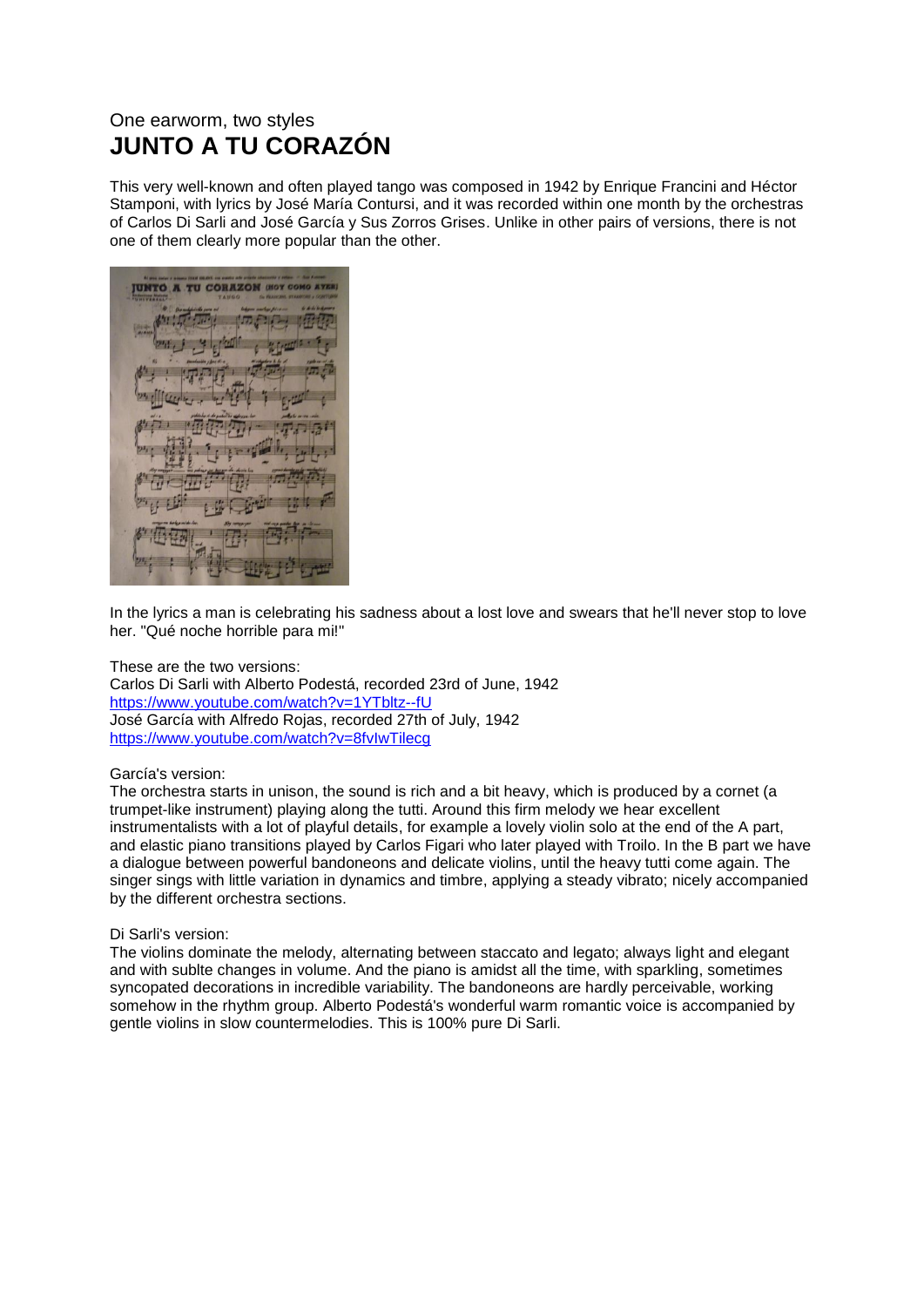## One earworm, two styles **JUNTO A TU CORAZÓN**

This very well-known and often played tango was composed in 1942 by Enrique Francini and Héctor Stamponi, with lyrics by José María Contursi, and it was recorded within one month by the orchestras of Carlos Di Sarli and José García y Sus Zorros Grises. Unlike in other pairs of versions, there is not one of them clearly more popular than the other.

**TU CORAZON (HO** 

In the lyrics a man is celebrating his sadness about a lost love and swears that he'll never stop to love her. "Qué noche horrible para mi!"

## These are the two versions:

Carlos Di Sarli with Alberto Podestá, recorded 23rd of June, 1942 <https://www.youtube.com/watch?v=1YTbltz--fU> José García with Alfredo Rojas, recorded 27th of July, 1942 <https://www.youtube.com/watch?v=8fvIwTilecg>

## García's version:

The orchestra starts in unison, the sound is rich and a bit heavy, which is produced by a cornet (a trumpet-like instrument) playing along the tutti. Around this firm melody we hear excellent instrumentalists with a lot of playful details, for example a lovely violin solo at the end of the A part, and elastic piano transitions played by Carlos Figari who later played with Troilo. In the B part we have a dialogue between powerful bandoneons and delicate violins, until the heavy tutti come again. The singer sings with little variation in dynamics and timbre, applying a steady vibrato; nicely accompanied by the different orchestra sections.

## Di Sarli's version:

The violins dominate the melody, alternating between staccato and legato; always light and elegant and with sublte changes in volume. And the piano is amidst all the time, with sparkling, sometimes syncopated decorations in incredible variability. The bandoneons are hardly perceivable, working somehow in the rhythm group. Alberto Podestá's wonderful warm romantic voice is accompanied by gentle violins in slow countermelodies. This is 100% pure Di Sarli.